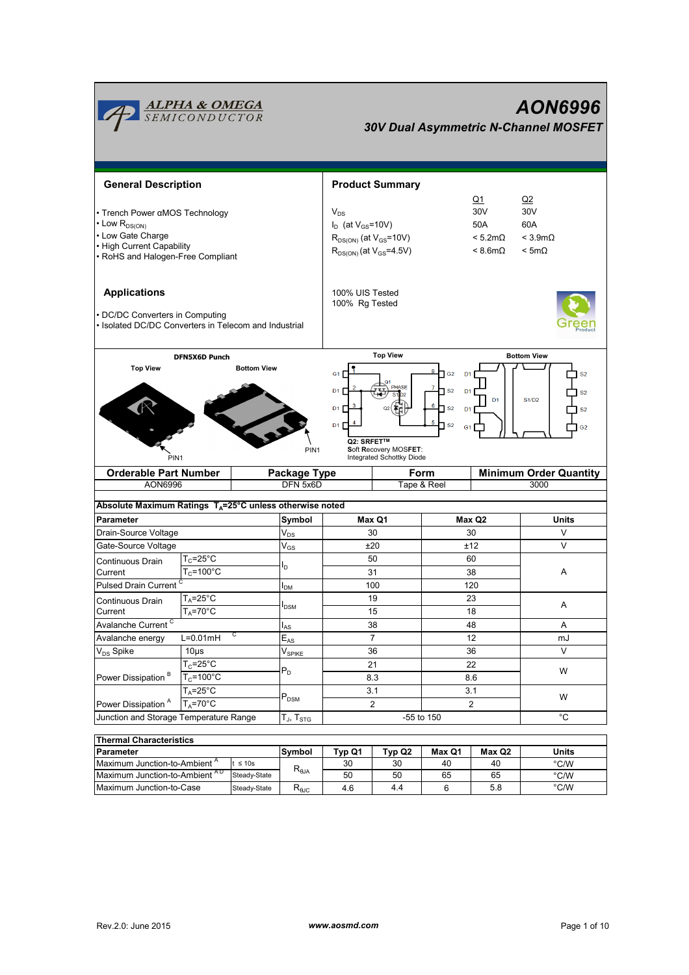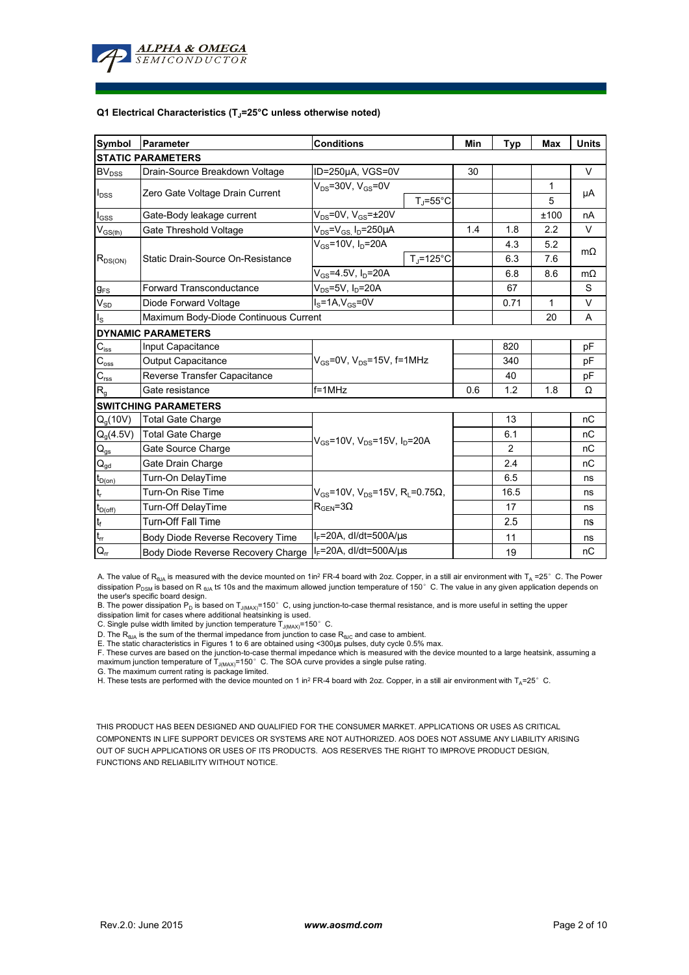

#### **Q1 Electrical Characteristics (TJ=25°C unless otherwise noted)**

| Symbol                                  | Parameter                             | <b>Conditions</b>                                                                                         |                     | Min | <b>Typ</b> | <b>Max</b> | <b>Units</b> |  |  |  |  |  |
|-----------------------------------------|---------------------------------------|-----------------------------------------------------------------------------------------------------------|---------------------|-----|------------|------------|--------------|--|--|--|--|--|
| <b>STATIC PARAMETERS</b>                |                                       |                                                                                                           |                     |     |            |            |              |  |  |  |  |  |
| BV <sub>DSS</sub>                       | Drain-Source Breakdown Voltage        | ID=250µA, VGS=0V                                                                                          |                     | 30  |            |            | $\vee$       |  |  |  |  |  |
| $I_{DSS}$                               | Zero Gate Voltage Drain Current       | $V_{DS}$ =30V, $V_{GS}$ =0V                                                                               |                     |     |            | 1          |              |  |  |  |  |  |
|                                         |                                       |                                                                                                           | $T_J = 55^{\circ}C$ |     |            | 5          | μA           |  |  |  |  |  |
| $I_{GSS}$                               | Gate-Body leakage current             | $V_{DS}$ =0V, $V_{GS}$ = $\pm$ 20V                                                                        |                     |     |            | ±100       | nA           |  |  |  |  |  |
| $\mathsf{V}_{\mathsf{GS}(\mathsf{th})}$ | Gate Threshold Voltage                | $V_{DS} = V_{GS} I_D = 250 \mu A$                                                                         |                     | 1.4 | 1.8        | 2.2        | V            |  |  |  |  |  |
| $R_{DS(ON)}$                            | Static Drain-Source On-Resistance     | $V_{GS} = 10V, I_D = 20A$                                                                                 |                     |     | 4.3        | 5.2        | $m\Omega$    |  |  |  |  |  |
|                                         |                                       |                                                                                                           | $T_i = 125$ °C      |     | 6.3        | 7.6        |              |  |  |  |  |  |
|                                         |                                       | $V_{GS} = 4.5V, I_D = 20A$                                                                                |                     |     | 6.8        | 8.6        | $m\Omega$    |  |  |  |  |  |
| $g_{FS}$                                | <b>Forward Transconductance</b>       | $V_{DS}$ =5V, $I_D$ =20A                                                                                  |                     |     | 67         |            | S            |  |  |  |  |  |
| $V_{SD}$                                | Diode Forward Voltage                 | $I_S = 1A$ , $V_{GS} = 0V$                                                                                |                     |     | 0.71       | 1          | V            |  |  |  |  |  |
| $I_{\rm S}$                             | Maximum Body-Diode Continuous Current |                                                                                                           |                     |     |            | 20         | A            |  |  |  |  |  |
|                                         | <b>DYNAMIC PARAMETERS</b>             |                                                                                                           |                     |     |            |            |              |  |  |  |  |  |
| $C_{\hbox{\tiny lss}}$                  | Input Capacitance                     | $V_{GS}$ =0V, $V_{DS}$ =15V, f=1MHz                                                                       |                     |     | 820        |            | pF           |  |  |  |  |  |
| $C_{\rm oss}$                           | <b>Output Capacitance</b>             |                                                                                                           |                     |     | 340        |            | рF           |  |  |  |  |  |
| $\mathbf{C}_{\text{rss}}$               | Reverse Transfer Capacitance          |                                                                                                           |                     |     | 40         |            | рF           |  |  |  |  |  |
| R <sub>g</sub>                          | Gate resistance                       | $f = 1$ MHz                                                                                               |                     | 0.6 | 1.2        | 1.8        | Ω            |  |  |  |  |  |
|                                         | <b>SWITCHING PARAMETERS</b>           |                                                                                                           |                     |     |            |            |              |  |  |  |  |  |
| Q <sub>a</sub> (10V)                    | <b>Total Gate Charge</b>              | $V_{GS}$ =10V, $V_{DS}$ =15V, $I_D$ =20A                                                                  |                     |     | 13         |            | nC           |  |  |  |  |  |
| $Q_g(4.5V)$                             | <b>Total Gate Charge</b>              |                                                                                                           |                     |     | 6.1        |            | nC           |  |  |  |  |  |
| $Q_{gs}$                                | Gate Source Charge                    |                                                                                                           |                     |     | 2          |            | nC           |  |  |  |  |  |
| $\mathsf{Q}_{\underline{\mathsf{gd}}}$  | Gate Drain Charge                     |                                                                                                           |                     |     | 2.4        |            | nC           |  |  |  |  |  |
| $t_{D(0n)}$                             | Turn-On DelayTime                     | $V_{\text{gs}}$ =10V, V <sub>DS</sub> =15V, R <sub>L</sub> =0.75 $\Omega$ ,<br>$R_{\text{GFN}} = 3\Omega$ |                     |     | 6.5        |            | ns           |  |  |  |  |  |
| $t_r$                                   | Turn-On Rise Time                     |                                                                                                           |                     |     | 16.5       |            | ns           |  |  |  |  |  |
| $t_{D(off)}$                            | Turn-Off DelayTime                    |                                                                                                           |                     |     | 17         |            | ns           |  |  |  |  |  |
| $\mathbf{t}_\text{f}$                   | <b>Turn-Off Fall Time</b>             |                                                                                                           |                     |     | 2.5        |            | ns           |  |  |  |  |  |
| $\mathfrak{t}_{\mathfrak{m}}$           | Body Diode Reverse Recovery Time      | $I_F$ =20A, dl/dt=500A/ $\mu$ s                                                                           |                     |     | 11         |            | ns           |  |  |  |  |  |
| $Q_{rr}$                                | Body Diode Reverse Recovery Charge    | $I_F = 20A$ , dl/dt=500A/us                                                                               |                     |     | 19         |            | nC           |  |  |  |  |  |

A. The value of  $R_{\theta JA}$  is measured with the device mounted on 1in<sup>2</sup> FR-4 board with 2oz. Copper, in a still air environment with T<sub>A</sub> =25°C. The Power dissipation P<sub>DSM</sub> is based on R <sub>θJA</sub> t≤ 10s and the maximum allowed junction temperature of 150°C. The value in any given application depends on

the user's specific board design.<br>B. The power dissipation P<sub>D</sub> is based on T<sub>J(MAX)</sub>=150° C, using junction-to-case thermal resistance, and is more useful in setting the upper<br>dissipation limit for cases where additional

D. The  $R_{\theta J\Delta}$  is the sum of the thermal impedance from junction to case  $R_{\theta JC}$  and case to ambient.

E. The static characteristics in Figures 1 to 6 are obtained using <300us pulses, duty cycle 0.5% max.

F. These curves are based on the junction-to-case thermal impedance which is measured with the device mounted to a large heatsink, assuming a maximum junction temperature of  $T_{J(MAX)}$ =150°C. The SOA curve provides a single pulse rating.

G. The maximum current rating is package limited.

H. These tests are performed with the device mounted on 1 in<sup>2</sup> FR-4 board with 2oz. Copper, in a still air environment with T<sub>A</sub>=25°C.

THIS PRODUCT HAS BEEN DESIGNED AND QUALIFIED FOR THE CONSUMER MARKET. APPLICATIONS OR USES AS CRITICAL COMPONENTS IN LIFE SUPPORT DEVICES OR SYSTEMS ARE NOT AUTHORIZED. AOS DOES NOT ASSUME ANY LIABILITY ARISING OUT OF SUCH APPLICATIONS OR USES OF ITS PRODUCTS. AOS RESERVES THE RIGHT TO IMPROVE PRODUCT DESIGN, FUNCTIONS AND RELIABILITY WITHOUT NOTICE.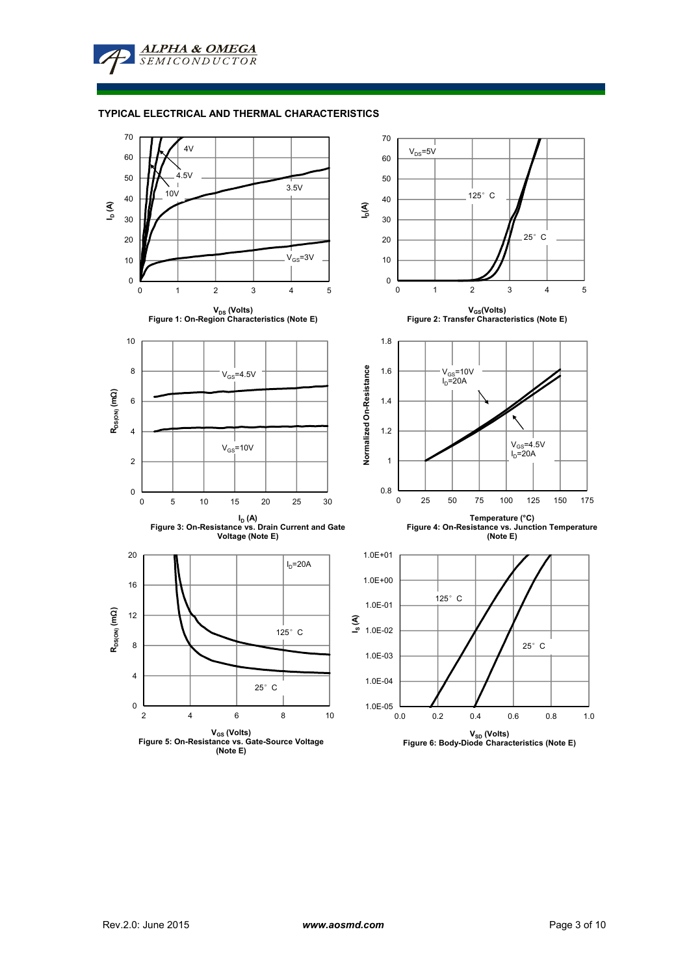**ALPHA & OMEGA SEMICONDUCTOR** 

## **TYPICAL ELECTRICAL AND THERMAL CHARACTERISTICS**

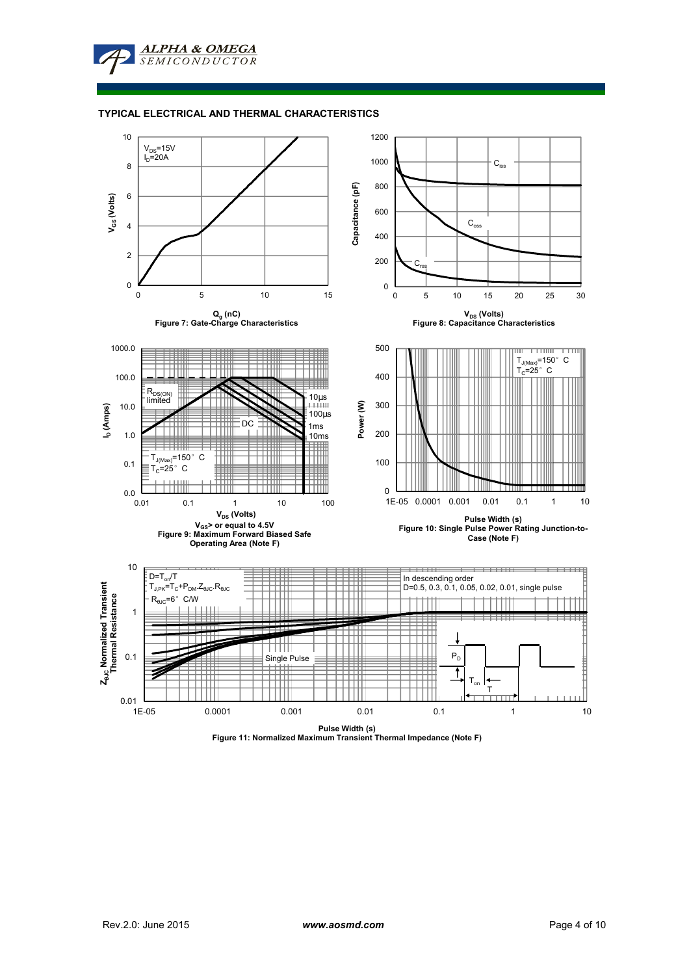

## **TYPICAL ELECTRICAL AND THERMAL CHARACTERISTICS**



**Pulse Width (s) Figure 11: Normalized Maximum Transient Thermal Impedance (Note F)**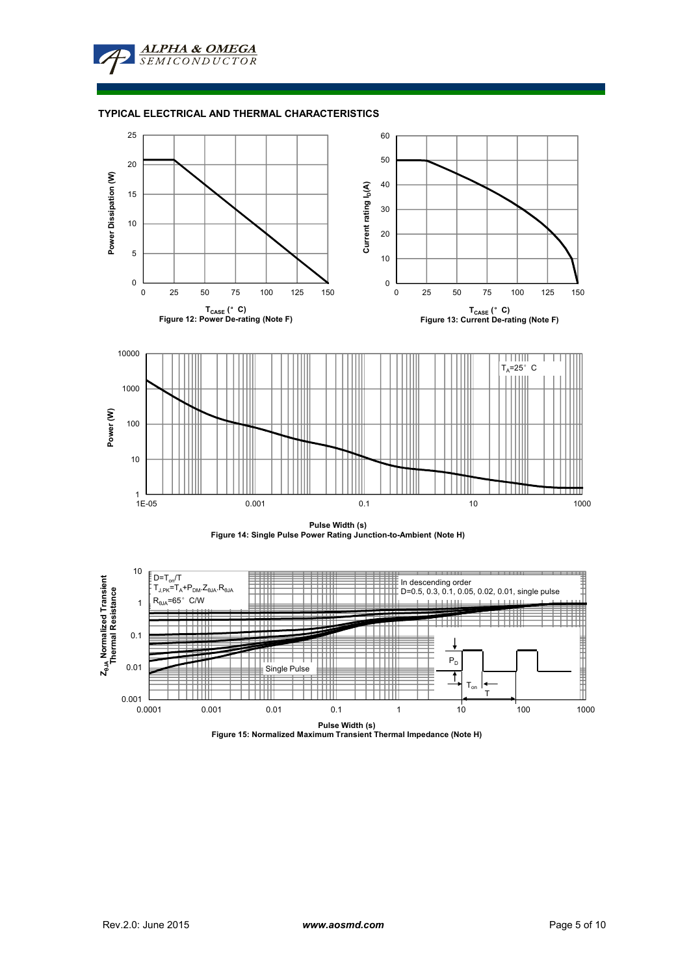

# **TYPICAL ELECTRICAL AND THERMAL CHARACTERISTICS**







**Pulse Width (s) Figure 15: Normalized Maximum Transient Thermal Impedance (Note H)**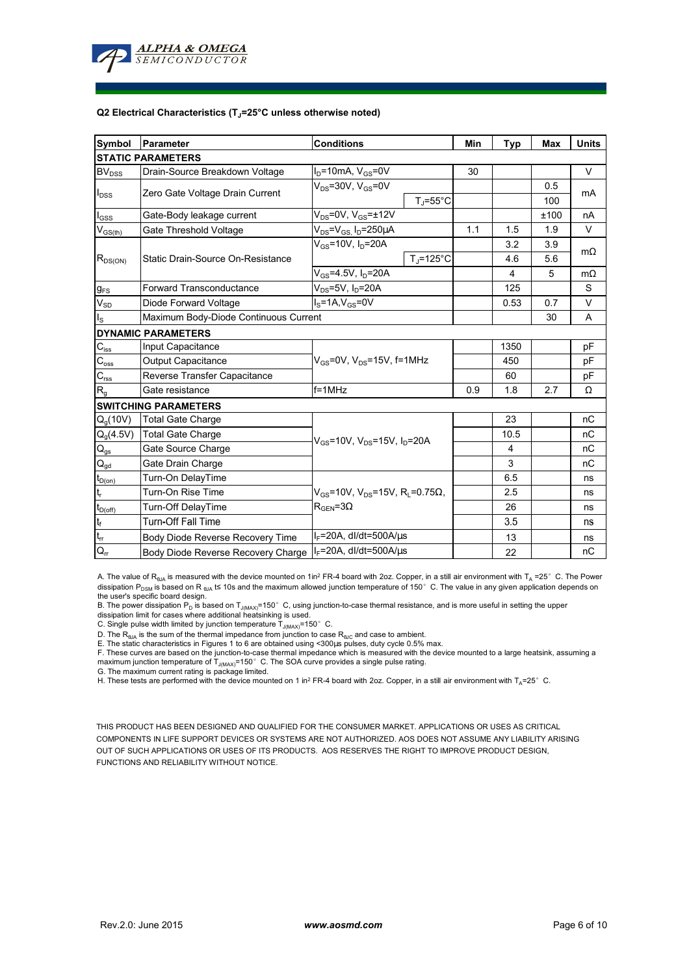

#### **Q2 Electrical Characteristics (TJ=25°C unless otherwise noted)**

| Symbol                                  | Parameter                             | <b>Conditions</b>                                                                                         |                     | Min | <b>Typ</b> | <b>Max</b> | <b>Units</b> |  |  |  |  |  |
|-----------------------------------------|---------------------------------------|-----------------------------------------------------------------------------------------------------------|---------------------|-----|------------|------------|--------------|--|--|--|--|--|
| <b>STATIC PARAMETERS</b>                |                                       |                                                                                                           |                     |     |            |            |              |  |  |  |  |  |
| BV <sub>DSS</sub>                       | Drain-Source Breakdown Voltage        | $I_D$ =10mA, $V_{GS}$ =0V                                                                                 |                     | 30  |            |            | $\vee$       |  |  |  |  |  |
| $I_{DSS}$                               | Zero Gate Voltage Drain Current       | $V_{DS}$ =30V, $V_{GS}$ =0V                                                                               |                     |     |            | 0.5        |              |  |  |  |  |  |
|                                         |                                       |                                                                                                           | $T_J = 55^{\circ}C$ |     |            | 100        | mA           |  |  |  |  |  |
| $I_{GSS}$                               | Gate-Body leakage current             | $V_{DS}$ =0V, $V_{GS}$ = $\pm$ 12V                                                                        |                     |     |            | ±100       | nA           |  |  |  |  |  |
| $\mathsf{V}_{\mathsf{GS}(\mathsf{th})}$ | Gate Threshold Voltage                | $V_{DS} = V_{GS} I_D = 250 \mu A$                                                                         |                     | 1.1 | 1.5        | 1.9        | V            |  |  |  |  |  |
| $R_{DS(ON)}$                            | Static Drain-Source On-Resistance     | $V_{GS} = 10V, I_D = 20A$                                                                                 |                     |     | 3.2        | 3.9        | $m\Omega$    |  |  |  |  |  |
|                                         |                                       |                                                                                                           | $T_i = 125$ °C      |     | 4.6        | 5.6        |              |  |  |  |  |  |
|                                         |                                       | $V_{GS} = 4.5V, I_D = 20A$                                                                                |                     |     | 4          | 5          | $m\Omega$    |  |  |  |  |  |
| $g_{FS}$                                | <b>Forward Transconductance</b>       | $V_{DS}$ =5V, $I_D$ =20A                                                                                  |                     |     | 125        |            | S            |  |  |  |  |  |
| $V_{SD}$                                | Diode Forward Voltage                 | $I_S = 1A, V_{GS} = 0V$                                                                                   |                     |     | 0.53       | 0.7        | V            |  |  |  |  |  |
| $I_{\rm S}$                             | Maximum Body-Diode Continuous Current |                                                                                                           |                     |     |            | 30         | A            |  |  |  |  |  |
|                                         | <b>DYNAMIC PARAMETERS</b>             |                                                                                                           |                     |     |            |            |              |  |  |  |  |  |
| $C_{\mathsf{iss}}$                      | Input Capacitance                     | $V_{GS}$ =0V, $V_{DS}$ =15V, f=1MHz                                                                       |                     |     | 1350       |            | pF           |  |  |  |  |  |
| $C_{\rm oss}$                           | <b>Output Capacitance</b>             |                                                                                                           |                     |     | 450        |            | рF           |  |  |  |  |  |
| $\mathbf{C}_{\text{rss}}$               | Reverse Transfer Capacitance          |                                                                                                           |                     |     | 60         |            | рF           |  |  |  |  |  |
| $R_{g}$                                 | Gate resistance                       | $f = 1$ MHz                                                                                               |                     | 0.9 | 1.8        | 2.7        | Ω            |  |  |  |  |  |
|                                         | <b>SWITCHING PARAMETERS</b>           |                                                                                                           |                     |     |            |            |              |  |  |  |  |  |
| Q <sub>a</sub> (10V)                    | <b>Total Gate Charge</b>              | $V_{GS}$ =10V, $V_{DS}$ =15V, $I_D$ =20A                                                                  |                     |     | 23         |            | nC           |  |  |  |  |  |
| $Q_g(4.5V)$                             | <b>Total Gate Charge</b>              |                                                                                                           |                     |     | 10.5       |            | nC           |  |  |  |  |  |
| $Q_{gs}$                                | Gate Source Charge                    |                                                                                                           |                     |     | 4          |            | nC           |  |  |  |  |  |
| $\mathsf{Q}_{\underline{\mathsf{gd}}}$  | Gate Drain Charge                     |                                                                                                           |                     |     | 3          |            | nC           |  |  |  |  |  |
| $t_{D(0n)}$                             | Turn-On DelayTime                     | $V_{\text{gs}}$ =10V, V <sub>DS</sub> =15V, R <sub>L</sub> =0.75 $\Omega$ ,<br>$R_{\text{GFN}} = 3\Omega$ |                     |     | 6.5        |            | ns           |  |  |  |  |  |
| $t_r$                                   | Turn-On Rise Time                     |                                                                                                           |                     |     | 2.5        |            | ns           |  |  |  |  |  |
| $t_{D(off)}$                            | Turn-Off DelayTime                    |                                                                                                           |                     |     | 26         |            | ns           |  |  |  |  |  |
| $\mathbf{t}_\text{f}$                   | <b>Turn-Off Fall Time</b>             |                                                                                                           |                     |     | 3.5        |            | ns           |  |  |  |  |  |
| $\mathfrak{t}_{\mathfrak{m}}$           | Body Diode Reverse Recovery Time      | $I_F$ =20A, dl/dt=500A/ $\mu$ s                                                                           |                     |     | 13         |            | ns           |  |  |  |  |  |
| $Q_{rr}$                                | Body Diode Reverse Recovery Charge    | $I_F = 20A$ , dl/dt=500A/us                                                                               |                     |     | 22         |            | nC           |  |  |  |  |  |

A. The value of  $R_{\theta JA}$  is measured with the device mounted on 1in<sup>2</sup> FR-4 board with 2oz. Copper, in a still air environment with T<sub>A</sub> =25°C. The Power dissipation P<sub>DSM</sub> is based on R <sub>θJA</sub> t≤ 10s and the maximum allowed junction temperature of 150°C. The value in any given application depends on

the user's specific board design.<br>B. The power dissipation P<sub>D</sub> is based on T<sub>J(MAX)</sub>=150° C, using junction-to-case thermal resistance, and is more useful in setting the upper<br>dissipation limit for cases where additional

D. The  $R_{\theta J\Delta}$  is the sum of the thermal impedance from junction to case  $R_{\theta JC}$  and case to ambient.

E. The static characteristics in Figures 1 to 6 are obtained using <300us pulses, duty cycle 0.5% max.

F. These curves are based on the junction-to-case thermal impedance which is measured with the device mounted to a large heatsink, assuming a maximum junction temperature of  $T_{J(MAX)}$ =150°C. The SOA curve provides a single pulse rating.

G. The maximum current rating is package limited.

H. These tests are performed with the device mounted on 1 in<sup>2</sup> FR-4 board with 2oz. Copper, in a still air environment with T<sub>A</sub>=25°C.

THIS PRODUCT HAS BEEN DESIGNED AND QUALIFIED FOR THE CONSUMER MARKET. APPLICATIONS OR USES AS CRITICAL COMPONENTS IN LIFE SUPPORT DEVICES OR SYSTEMS ARE NOT AUTHORIZED. AOS DOES NOT ASSUME ANY LIABILITY ARISING OUT OF SUCH APPLICATIONS OR USES OF ITS PRODUCTS. AOS RESERVES THE RIGHT TO IMPROVE PRODUCT DESIGN, FUNCTIONS AND RELIABILITY WITHOUT NOTICE.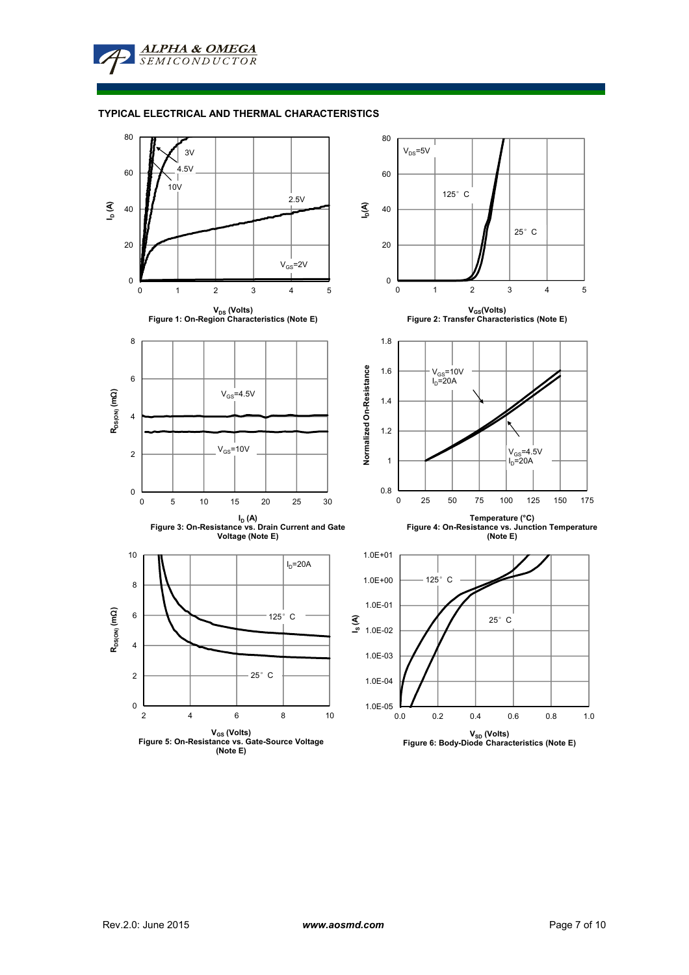**ALPHA & OMEGA SEMICONDUCTOR** 

## **TYPICAL ELECTRICAL AND THERMAL CHARACTERISTICS**

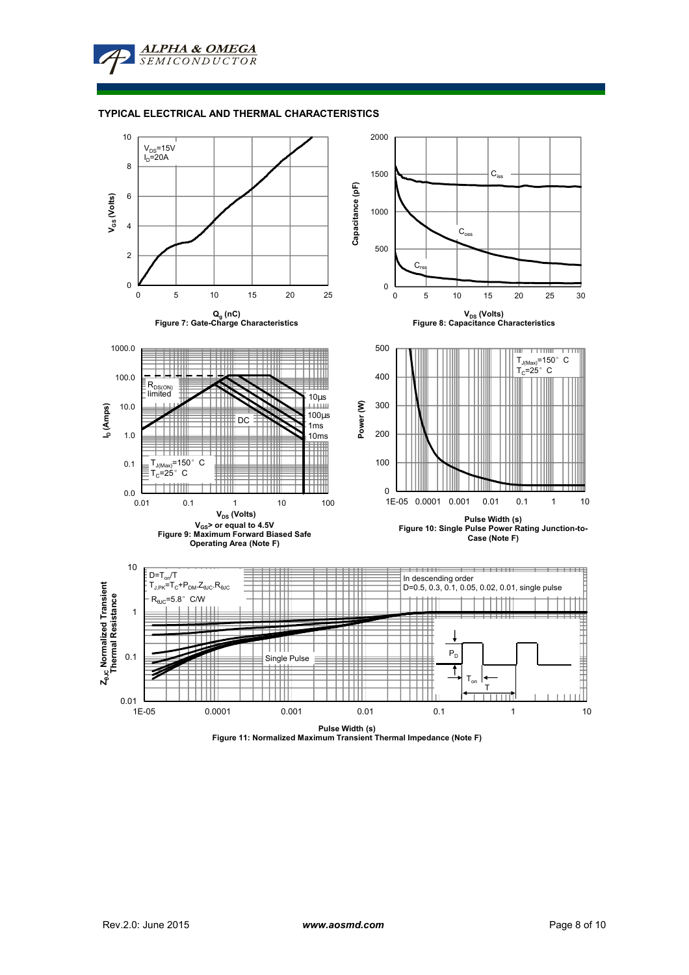**ALPHA & OMEGA SEMICONDUCTOR** 

#### **TYPICAL ELECTRICAL AND THERMAL CHARACTERISTICS**



**Pulse Width (s) Figure 11: Normalized Maximum Transient Thermal Impedance (Note F)**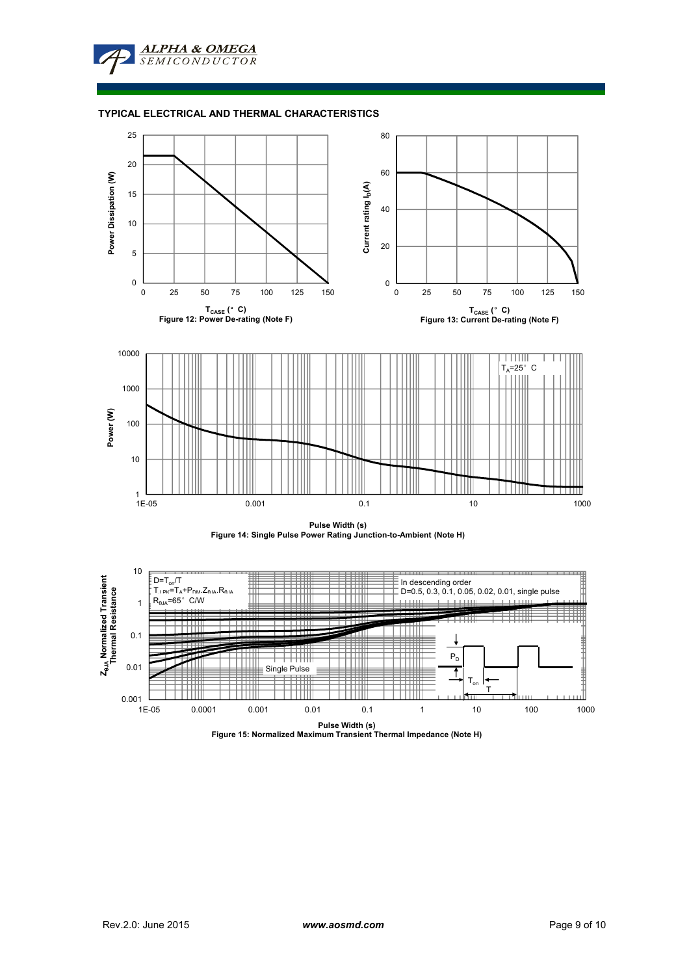

# **TYPICAL ELECTRICAL AND THERMAL CHARACTERISTICS**





**Pulse Width (s) Figure 15: Normalized Maximum Transient Thermal Impedance (Note H)**